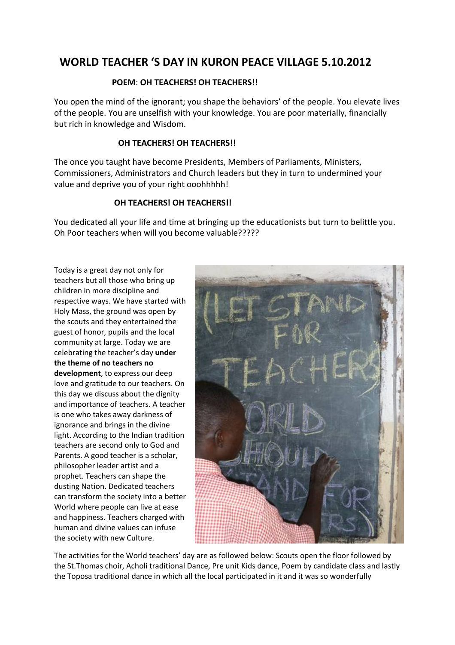## **WORLD TEACHER 'S DAY IN KURON PEACE VILLAGE 5.10.2012**

#### **POEM**: **OH TEACHERS! OH TEACHERS!!**

You open the mind of the ignorant; you shape the behaviors' of the people. You elevate lives of the people. You are unselfish with your knowledge. You are poor materially, financially but rich in knowledge and Wisdom.

#### **OH TEACHERS! OH TEACHERS!!**

The once you taught have become Presidents, Members of Parliaments, Ministers, Commissioners, Administrators and Church leaders but they in turn to undermined your value and deprive you of your right ooohhhhh!

#### **OH TEACHERS! OH TEACHERS!!**

You dedicated all your life and time at bringing up the educationists but turn to belittle you. Oh Poor teachers when will you become valuable?????

Today is a great day not only for teachers but all those who bring up children in more discipline and respective ways. We have started with Holy Mass, the ground was open by the scouts and they entertained the guest of honor, pupils and the local community at large. Today we are celebrating the teacher's day **under the theme of no teachers no development**, to express our deep love and gratitude to our teachers. On this day we discuss about the dignity and importance of teachers. A teacher is one who takes away darkness of ignorance and brings in the divine light. According to the Indian tradition teachers are second only to God and Parents. A good teacher is a scholar, philosopher leader artist and a prophet. Teachers can shape the dusting Nation. Dedicated teachers can transform the society into a better World where people can live at ease and happiness. Teachers charged with human and divine values can infuse the society with new Culture.



The activities for the World teachers' day are as followed below: Scouts open the floor followed by the St.Thomas choir, Acholi traditional Dance, Pre unit Kids dance, Poem by candidate class and lastly the Toposa traditional dance in which all the local participated in it and it was so wonderfully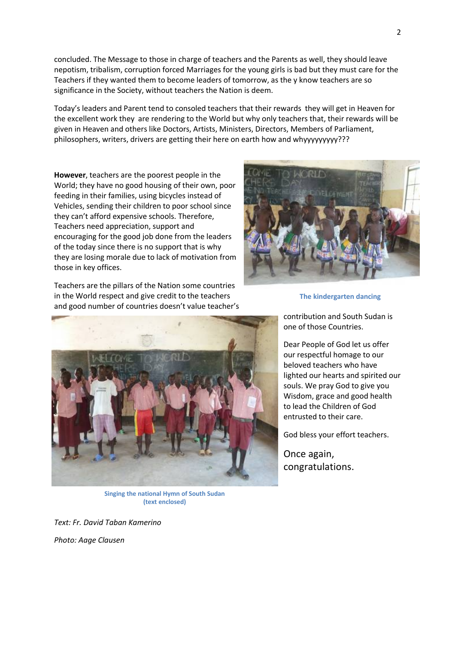concluded. The Message to those in charge of teachers and the Parents as well, they should leave nepotism, tribalism, corruption forced Marriages for the young girls is bad but they must care for the Teachers if they wanted them to become leaders of tomorrow, as the y know teachers are so significance in the Society, without teachers the Nation is deem.

Today's leaders and Parent tend to consoled teachers that their rewards they will get in Heaven for the excellent work they are rendering to the World but why only teachers that, their rewards will be given in Heaven and others like Doctors, Artists, Ministers, Directors, Members of Parliament, philosophers, writers, drivers are getting their here on earth how and whyyyyyyyyy???

**However**, teachers are the poorest people in the World; they have no good housing of their own, poor feeding in their families, using bicycles instead of Vehicles, sending their children to poor school since they can't afford expensive schools. Therefore, Teachers need appreciation, support and encouraging for the good job done from the leaders of the today since there is no support that is why they are losing morale due to lack of motivation from those in key offices.

Teachers are the pillars of the Nation some countries in the World respect and give credit to the teachers and good number of countries doesn't value teacher's



**The kindergarten dancing**



**Singing the national Hymn of South Sudan (text enclosed)**

*Text: Fr. David Taban Kamerino*

*Photo: Aage Clausen*

contribution and South Sudan is

one of those Countries.

Dear People of God let us offer our respectful homage to our beloved teachers who have lighted our hearts and spirited our souls. We pray God to give you Wisdom, grace and good health to lead the Children of God entrusted to their care.

God bless your effort teachers.

Once again, congratulations.